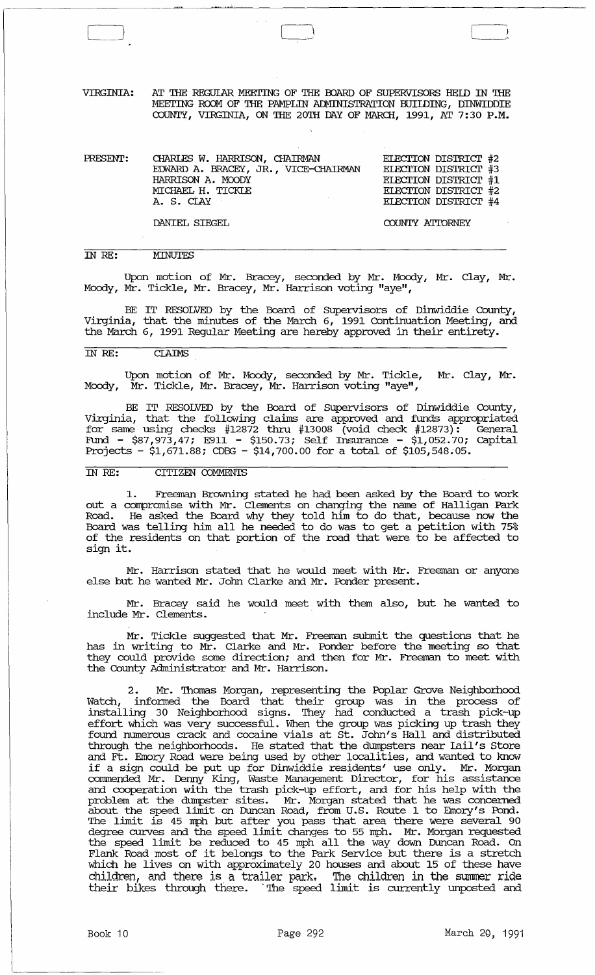VIRGINIA: AT THE REGUlAR MEEI'ING OF THE OOARD OF SUPERVISORS REID IN THE MEETING ROOM OF THE PAMPLIN ADMINISTRATION BUILDING, DINWIDDIE COUNTY, VIRGINIA, ON THE 20TH DAY OF MARCH, 1991, AT 7:30 P.M.

| PRESENT: | CHARLES W. HARRISON, CHAIRMAN<br>EDWARD A. BRACEY, JR., VICE-CHAIRMAN | ELECTION DISTRICT #2<br>ELECTION DISTRICT #3 |  |
|----------|-----------------------------------------------------------------------|----------------------------------------------|--|
|          | HARRISON A. MOODY<br>MICHAEL H. TICKLE                                | ELECTION DISTRICT #1<br>ELECTION DISTRICT #2 |  |
|          | A. S. CIAY                                                            | ELECTION DISTRICT #4                         |  |

DANIEL SIEGEL

COUNTY ATIDRNEY

### IN RE: **MINUTES**

Upon motion of Mr. Bracey, seconded by Mr. Moody, Mr. Clay, Mr. Mocxly, Mr. Tickle, Mr. Bracey, Mr. Harrison voting "aye",

BE IT RESOLVED by the Board of supervisors of Dinwiddie County, Virginia, that the minutes of the March 6, 1991 Continuation Meeting, and the March 6, 1991 Regular Meeting are hereby approved in their entirety.

## IN RE: CIAIMS

Upon motion of Mr. Moody, seconded by Mr. Tickle, Mr. Clay, Mr. Mocxly, Mr. Tickle, Mr. Bracey, Mr. Harrison voting "aye",

BE IT RESOLVED by the Board of Supervisors of Dinwiddie County, Virginia, that the following claims are approved and funds appropriated for same using checks  $#12872$  thru  $#13008$  (void check  $#12873$ ): General Fund - \$87,973,47; E911 - \$150.73; Self Insurance - \$1,052.70; capital Projects - \$1,671.88; CDBG - \$14,700.00 for a total of \$105,548.05.

## IN RE: CITIZEN COMMENTS

1. Freeman Browning stated he had been asked by the Board to work out a compromise with Mr. Clements on changing the name of Halligan Park Road. He asked the Board why they told him to do that, because now the Board was telling him all he needed to do was to get a petition with 75% of the residents on that portion of the road that were to be affected to sign it.

Mr. Harrison stated that he would meet with Mr. Freeman or anyone else but he wanted Mr. John Clarke and Mr. Ponder present.

Mr. Bracey said he would meet with them also, but he wanted to include Mr. Clements.

Mr. Tickle suggested that Mr. Freeman submit the questions that he has in writing to Mr. Clarke and Mr. Ponder before the meeting so that they could provide some direction; and then for Mr. Freeman to meet with the County Administrator and Mr. Harrison.

2. Mr. Thomas Morgan, representing the Poplar Grove Neighborhood Watch, infonned the Board that their group was in the process of installing 30 Neighborhocxl signs. 'Ihey had conducted a trash pick-Up effort which was very successful. When the group was picking up trash they found numerous crack and cocaine vials at st. John's Hall and distributed through the neighborhoods. He stated that the dumpsters near rail's Store and Ft. Emory Road were being used by other localities, and wanted to know if a sign could be put up for Dinwiddie residents' use only. Mr. Morgan corrnnended Mr. Denny King, Waste Management Director, for his assistance and cooperation with the trash piCk-Up effort, and for his help with the problem at the dumpster sites. Mr. Morgan stated that he was concerned about the speed limit on Duncan Road, from U.S. Route 1 to Emory's Pond. 'Ihe limit is 45 mph but after you pass that area there were several 90 degree curves and the speed limit changes to 55 mph. Mr. Morgan requested the speed limit be reduced to 45 mph all the way down Dlmcan Road. On Flank Road most of it belongs to the Park Service but there is a stretch which he lives on with approximately 20 houses and about 15 of these have children, and there is a trailer park. '!he children in the summer ride their bikes through there." The speed limit is currently unposted and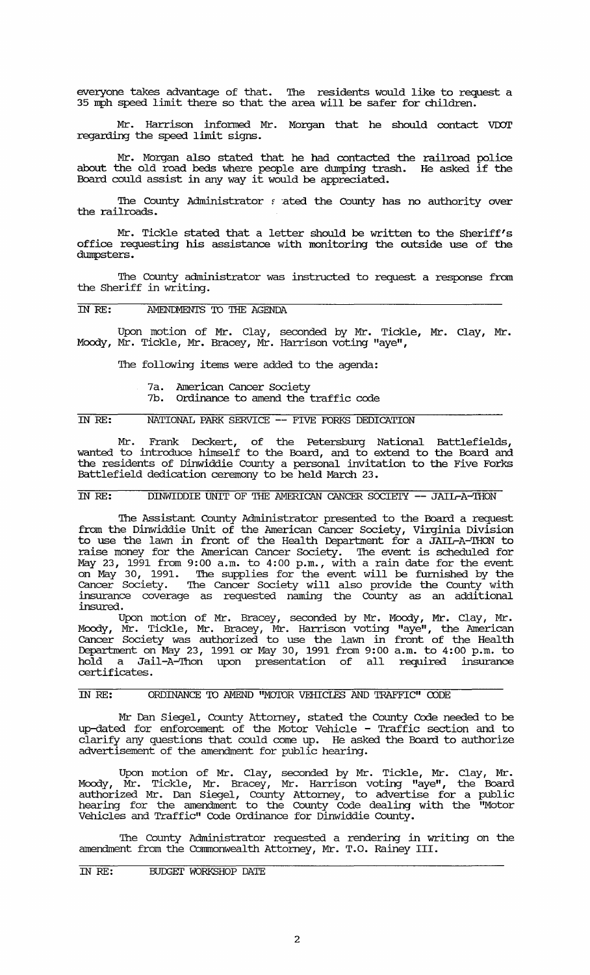everyone takes advantage of that. '!he residents would like to request a 35 mph speed limit there so that the area will be safer for children.

Mr. Harrison informed Mr. Morgan that he should contact VDOT regarding the speed limit signs.

Mr. Morgan also stated that he had contacted the railroad police about the old road beds where people are dumping trash. He asked if the Board could assist in any way it would be appreciated.

The County Administrator f ated the County has no authority over the railroads.

Mr. Tickle stated that a letter should be written to the Sheriff's office requesting his assistance with monitoring the outside use of the dumpsters.

The County administrator was instructed to request a response from the Sheriff in writing.<br>IN RE: AMENDMENTS TO THE AGENDA the Sheriff in writing.

Upon motion of Mr. Clay, seconded by Mr. Tickle, Mr. Clay, Mr. Moody, Mr. Tickle, Mr. Bracey, Mr. Harrison voting "aye",

The following items were added to the agenda:

- 7a. American Cancer society
- 7b. Ordinance to amend the traffic code

### IN RE: NATIONAL PARK SERVICE -- FIVE FORKS DEDICATION

Mr. Frank Deckert, of the Petersburg National Battlefields, wanted to introduce himself to the Board, and to extend to the Board and the residents of Dinwiddie County a personal invitation to the Five Forks Battlefield dedication ceremony to be held March 23.

# IN RE: DINWIDDIE UNIT OF THE AMERICAN CANCER SOCIETY -- JAIL-A-THON

The Assistant County Administrator presented to the Board a request from the Dinwiddie Unit of the American Cancer Society, Virginia Division to use the lawn in front of the Health Department for a JAIL-A-THON to raise money for the American Cancer Society. '!he event is scheduled for May 23, 1991 from 9:00 a.m. to 4:00 p.m., with a rain date for the event on May 30, 1991. The supplies for the event will be furnished by the Cancer Society. The Cancer Society will also provide the County with insurance coverage as requested naming the County as an additional insured.

Upon motion of Mr. Bracey, seconded by Mr. Moody, Mr. Clay, Mr. Moody, Mr. Tickle, Mr. Bracey, Mr. Harrison voting "aye", the American Cancer Society was authorized to use the lawn in front of the Health Department on May 23, 1991 or May 30, 1991 from 9:00 a.m. to 4:00 p.m. to hold a Jail-A-'Ihon upon presentation of all required insurance certificates.

## IN RE: ORDINANCE TO AMEND "MOTOR VEHICLES AND TRAFFIC" CODE

Mr Dan Siegel, County Attorney, stated the County Code needed to be up-dated for enforcement of the Motor Vehicle - Traffic section and to clarify any questions that could come up. He asked the Board to authorize advertisement of the amendment for public hearing.

Upon motion of Mr. Clay, seconded by Mr. Tickle, Mr. Clay, Mr. Moody, Mr. Tickle, Mr. Bracey, Mr. Harrison voting "aye", the Board authorized Mr. Dan Siegel, County Attorney, to advertise for a public hearing for the amendment to the County Code dealing with the "Motor Vehicles and Traffic" Code Ordinance for Dinwiddie County.

'!he County Administrator requested a rendering in writing on the amendment from the Commonwealth Attorney, Mr. T. O. Rainey III.

### IN RE: BUDGET WORKSHOP DATE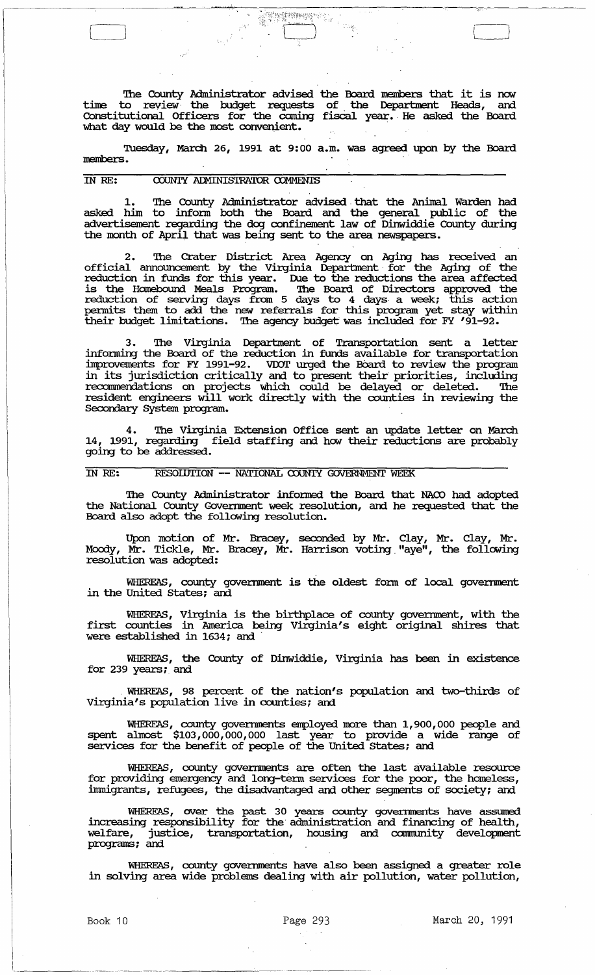'!he County Administrator advised the Board members that it is now time to review the budget requests of the Department Heads, and Constitutional Officers for the coming fiscal year. He asked the Board what day would be the most convenient.

'";;;.-'/ *;Yirr-;;Yi1t;;... .*  'L) J

Tuesday, March 26, 1991 at 9:00 a.m. was agreed upon by the Board members.

### COUNTY ADMINISTRATOR COMMENTS IN RE:

1. The County Administrator advised that the Animal Warden had asked him to inform both the Board and the general public of the advertisement regarding the dog confinement law of Dinwiddie County during the month of April that was being sent to the area newspapers.

2. The Crater District Area Agency on Aging has received an official armouncement by the Virginia Deparbnent for the Aging of the reduction in funds for this year. Due to the reductions the area affected is the Homebound Meals Program. '!he Board of Directors approved the reduction of serving days fram 5 days to 4 days· a week; this action pennits them to add the new referrals for this program yet stay within their budget limitations. '!he agency budget was included for FY '91-92.

The Virginia Department of Transportation sent a letter infonning the Board of the reduction in funds available for transportation improvements for FY 1991-92. voor urged the BOard to review the program in its jurisdiction critically and to present their priorities, including recommendations on projects which could be delayed or deleted. The resident engineers will work directly with the counties in reviewing the Secondary System program.

4. The Virginia Extension Office sent an update letter on March 14, 1991, regarding field staffing and how their reductions are probably going to be addressed.

### IN RE: RESOLUTION -- NATIONAL COUNTY GOVERNMENT WEEK

The County Administrator informed the Board that NACO had adopted the National County Government week resolution, and he requested that the Board also adopt the following resolution.

Upon motion of Mr. Bracey, seconded by Mr. Clay, Mr. Clay, Mr. Moody, Mr. Tickle, Mr. Bracey, Mr. Harrison voting. "aye", the following resolution was adopted:

WHEREAS, county government is the oldest form of local government in the United States; and

WHEREAS, Virginia is the birthplace of county government, with the first counties in America being Virginia's eight original shires that were established in 1634; and

WHEREAS, the County of Dinwiddie, Virginia has been in existence for  $239$  years; and

WHEREAS, 98 percent of the nation's population and two-thirds of Virginia's population live in counties; and

WHEREAS, county governments employed more than 1,900,000 people and spent almost \$103,000,000,000 last year to provide a wide range of services for the benefit of people of the United States; and

WHEREAS, county governments are often the last available resource for providing emergency and long-term services for the poor, the homeless, immigrants, refugees, the disadvantaged and other segments of society; and

WHEREAS, over the past 30 years county goverrnnents have assumed increasing responsibility for the administration and financing of health, welfare, justice, transportation, housing and community development programs; and

WHEREAS, county governments have also been assigned a greater role in solving area wide problems dealing with air pollution, water pollution,

I .. \_\_\_\_\_\_\_\_\_\_\_\_\_ .\_. \_\_\_\_\_\_\_\_ .\_. \_\_\_\_\_\_\_ \_

I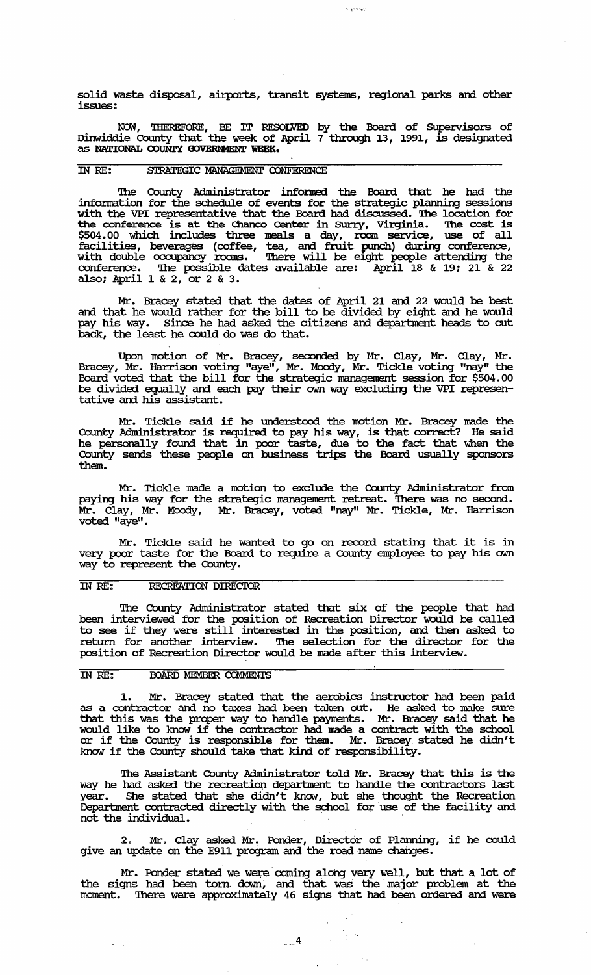solid waste disposal, airports, transit systems, regional parks and other issues:

 $\sim$   $e^{i\pi/2}$ 

NCM, 'lliEREFORE, BE IT RESOLVED by the Board of SUpervisors of Dinwiddie County that the week of April 7 through 13, 1991, is designated as **NATIONM. OOONTY OOVERNMENT WEEK.** 

## IN RE: STRATEGIC MANAGEMENT CONFERENCE

The County Administrator informed the Board that he had the infonnation for the schedule of events for the strategic planning sessions with the VPI representative that the Board had discussed. The location for the conference is at the Chanco Center in Surry, Virginia. The cost is \$504.00 which includes three meals a day, roan service, use of all facilities, beverages (coffee, tea, and fruit punch) during conference, with double occupancy rooms. There will be eight people attending the conference. The possible dates available are: April 18 & 19; 21 & 22 also; April 1 & 2, or 2 & 3.

Mr. Bracey stated that the dates of April 21 and 22 would be best and that he would rather for the bill to be divided by eight and he would pay his way. Since he had asked the citizens and department heads to cut back, the least he could do was do that.

Upon motion of Mr. Bracey, seconded by Mr. Clay, Mr. Clay, Mr. Bracey, Mr. Harrison voting "aye", Mr. Moody, Mr. Tickle voting "nay" the Board voted that the bill for the strategic management session for \$504.00 be divided equally and each pay their own way excluding the VPI representative and his assistant.

Mr. Tickle said if he understood the motion Mr. Bracey made the County Administrator is required to pay his way, is that correct? He said he personally found that in poor taste, due to the fact that when the County sends these people on business trips the Board usually sponsors them.

Mr. Tickle made a motion to exclude the County Adrninistrator from paying his way for the strategic management retreat. There was no second. Mr. Clay, Mr. Moody, Mr. Bracey, voted "nay" Mr. Tickle, Mr. Harrison voted "aye".

Mr. Tickle said he wanted to go on record stating that it is in very poor taste for the Board to require a County employee to pay his own way to represent the County.

### IN RE: RECREATION DIRECIOR

The County Administrator stated that six of the people that had been interviewed for the position of Recreation Director would be called to see if they were still interested in the position, and then asked to return for another interview. The selection for the director for the position of Recreation Director would be made after this interview.

## IN RE: BOARD MEMBER COMMENTS

L.

1. Mr. Bracey stated that the aerobics instructor had been paid as a contractor and no taxes had been taken out. He asked to make sure that this was the proper way to harrlle payments. Mr. Bracey said that he would like to know if the contractor had made a contract with the school would like to know it the contractor had made a contract with the school or if the County is responsible for them. Mr. Bracey stated he didn't of if the county is responsible for them. First hacey is know if the County should take that kind of responsibility.

The Assistant County Administrator told Mr. Bracey that this is the way he had asked the recreation department to handle the contractors last year. She stated that she didn't know, but she thought the Recreation Department contracted directly with the sphool for use of the facility and not the individual.

2. Mr. Clay asked Mr. Ponder, Director of Planning, if he could give an update on the E911 program and the road name changes.

Mr. Ponder stated we were coming along very well, but that a lot of the signs had been torn down, and that was the major problem at the moment. There were approximately 46 signs that had been ordered and were

 $\frac{1}{2}$  ,  $\frac{1}{2}$  ,  $\frac{1}{2}$  ,  $\frac{1}{2}$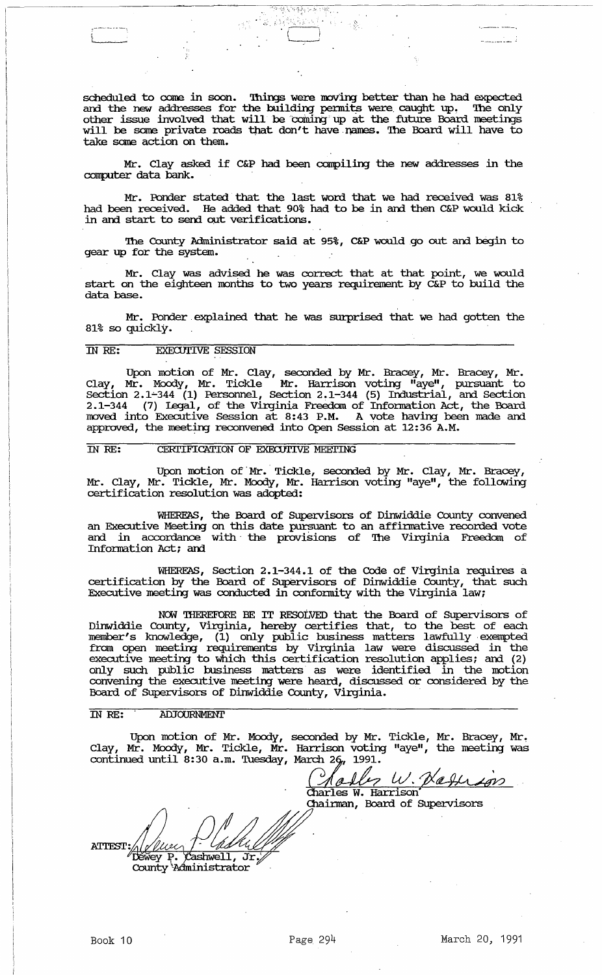scheduled to come in soon. Things were moving better than he had expected and the new addresses for the building permits were caught up. The only other issue involved that will be coming up at the future Board meetings will be some private roads that don't have names. The Board will have to take same action on them.

" ' ' ' ' ' .,t\_ ",.t, .".,',,; ," ..

Mr. Clay asked if C&P had been canpilirg the new addresses in the computer data bank. '

Mr. Porxler stated that the last word that we had received was 81% had been received. He added that 90% had to be in and then C&P would kick in and start to send out verifications.

The County Administrator said at 95%, C&P would go out and begin to gear up for the system.

Mr. Clay was advised he was correct that at that point, we would start on the eighteen months to two years requirement by C&P to build the data base.

Mr. Ponder, explained that he was surprised that we had gotten the 81% so quickly.

### IN RE: EXECUTIVE SESSION

Upon motion of Mr. Clay, seconded by Mr. Bracey, Mr. Bracey, Mr. Clay, Mr. Moody, Mr. Tickle Mr. Harrison voting "aye", pursuant to  $s$ ection 2.1-344 (1) Personnel, Section 2.1-344 (5) Industrial, and Section 2.1-344 (7) Legal, of the Virginia Freedom of Infonnation Act, the Board rroved into Executive Session at 8:43 P.M. A vote havirg been made and approved, the meeting reconvened into Open Session at 12:36 A.M.

### IN RE: CERTIFICATION OF EXECUTIVE MEETING

Upon motion of Mr. Tickle, seconded by Mr. Clay, Mr. Bracey, Mr. Clay, Mr. Tickle, Mr. Moody, Mr. Harrison voting "aye", the following certification resolution was adopted:

WHEREAS, the Board of Supervisors of Dinwiddie County convened an Executive Meeting on this date pursuant to an affinnative recorded vote and in accordance with the provisions of The Virginia Freedom of Infonnation Act; and

WHEREAS, Section 2.1-344.1 of the Code of Virginia requires a certification by the Board of SUpervisors of Dinwiddie County, that such Executive meeting was conducted in confonnity with the Virginia law;

NOW THEREFORE BE IT RESOLVED that the Board of Supervisors of Dinwiddie County, Virginia, hereby certifies that, to the best of each member's knowledge, (1) only public business matters lawfully exempted fram open meetirg requirements by Virginia law were discussed in the executive meeting to which this certification resolution applies; and (2) only such public business matters as were identified in the motion convening the executive meeting were heard, discussed or considered by the Board of SUpervisors of Dinwiddie County, Virginia.

### IN *RE:* AllJOURNMENT

Upon motion of Mr. Moody, seconded by Mr. Tickle, Mr. Bracey, Mr. Clay, Mr. Moody, Mr. Tickle, Mr. Harrison voting "aye", the meeting was continued until  $8:30$  a.m. Tuesday, March 26, 1991.

 $\frac{1}{\sqrt{2}}\left(\frac{\sqrt{2}}{2}\frac{\partial \mathcal{L}}{\partial \mathbf{r}}\right)$  (Marrison)  $_7$  W. Defirson

Chainnan, Board of SUpervisors

**ATTEST:**  $\sqrt{\text{ashwell}}, \overrightarrow{\text{Jr}}$ Déwey P. County Administrator

و المستشهر المساح